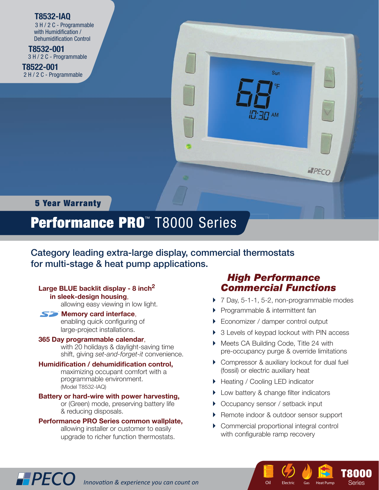#### **T8532-IAQ**

 3 H / 2 C - Programmable with Humidification / Dehumidification Control

 **T8532-001** 3 H / 2 C - Programmable

**T8522-001** 2 H / 2 C - Programmable



## 5 Year Warranty

# Performance PRO™ T8000 Series

Category leading extra-large display, commercial thermostats for multi-stage & heat pump applications.

### **Large BLUE backlit display - 8 inch2**

#### **in sleek-design housing**,

allowing easy viewing in low light.

#### **S** Memory card interface,

enabling quick configuring of large-project installations.

#### **365 Day programmable calendar**,

 with 20 holidays & daylight-saving time shift, giving *set-and-forget-it* convenience.

#### Humidification / dehumidification control,

 maximizing occupant comfort with a programmable environment. (Model T8532-IAQ)

#### **Battery or hard-wire with power harvesting,**

 or (Green) mode, preserving battery life & reducing disposals.

#### **Performance PRO Series common wallplate,**

**IPPECO** Innovation & experience you can count on

 allowing installer or customer to easily upgrade to richer function thermostats.

## *High Performance Commercial Functions*

- ▶ 7 Day, 5-1-1, 5-2, non-programmable modes
- **Programmable & intermittent fan**
- ▶ Economizer / damper control output
- ▶ 3 Levels of keypad lockout with PIN access
- ▶ Meets CA Building Code, Title 24 with pre-occupancy purge & override limitations
- ▶ Compressor & auxiliary lockout for dual fuel (fossil) or electric auxiliary heat
- ▶ Heating / Cooling LED indicator
- ▶ Low battery & change filter indicators
- ▶ Occupancy sensor / setback input
- **Remote indoor & outdoor sensor support**
- Commercial proportional integral control with configurable ramp recovery

**T**2502  $E$ lectric Gas

Oil Electric Gas Heat Pump Series

**T8000**